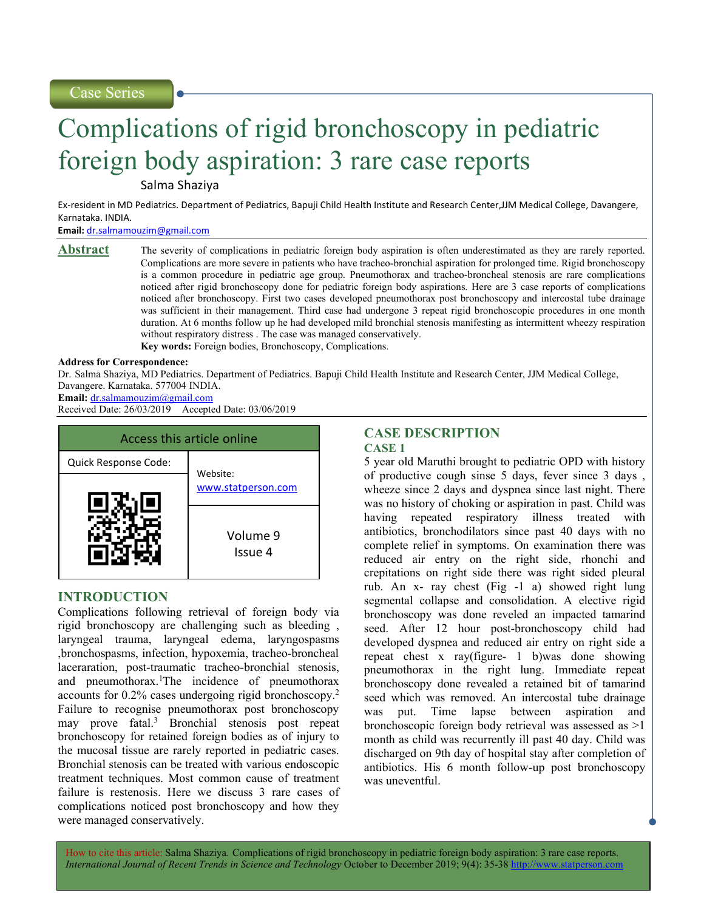Case Series

# Complications of rigid bronchoscopy in pediatric foreign body aspiration: 3 rare case reports

Salma Shaziya

Ex-resident in MD Pediatrics. Department of Pediatrics, Bapuji Child Health Institute and Research Center,JJM Medical College, Davangere, Karnataka. INDIA.

Email: dr.salmamouzim@gmail.com

Abstract The severity of complications in pediatric foreign body aspiration is often underestimated as they are rarely reported. Complications are more severe in patients who have tracheo-bronchial aspiration for prolonged time. Rigid bronchoscopy is a common procedure in pediatric age group. Pneumothorax and tracheo-broncheal stenosis are rare complications noticed after rigid bronchoscopy done for pediatric foreign body aspirations. Here are 3 case reports of complications noticed after bronchoscopy. First two cases developed pneumothorax post bronchoscopy and intercostal tube drainage was sufficient in their management. Third case had undergone 3 repeat rigid bronchoscopic procedures in one month duration. At 6 months follow up he had developed mild bronchial stenosis manifesting as intermittent wheezy respiration without respiratory distress . The case was managed conservatively. Key words: Foreign bodies, Bronchoscopy, Complications.

# Address for Correspondence:

Dr. Salma Shaziya, MD Pediatrics. Department of Pediatrics. Bapuji Child Health Institute and Research Center, JJM Medical College, Davangere. Karnataka. 577004 INDIA.

Email: dr.salmamouzim@gmail.com

Received Date: 26/03/2019 Accepted Date: 03/06/2019



# INTRODUCTION

Complications following retrieval of foreign body via rigid bronchoscopy are challenging such as bleeding , laryngeal trauma, laryngeal edema, laryngospasms ,bronchospasms, infection, hypoxemia, tracheo-broncheal laceraration, post-traumatic tracheo-bronchial stenosis, and pneumothorax.<sup>1</sup>The incidence of pneumothorax accounts for 0.2% cases undergoing rigid bronchoscopy.<sup>2</sup> Failure to recognise pneumothorax post bronchoscopy may prove fatal.<sup>3</sup> Bronchial stenosis post repeat bronchoscopy for retained foreign bodies as of injury to the mucosal tissue are rarely reported in pediatric cases. Bronchial stenosis can be treated with various endoscopic treatment techniques. Most common cause of treatment failure is restenosis. Here we discuss 3 rare cases of complications noticed post bronchoscopy and how they were managed conservatively.

# CASE DESCRIPTION

CASE 1

5 year old Maruthi brought to pediatric OPD with history of productive cough sinse 5 days, fever since 3 days , wheeze since 2 days and dyspnea since last night. There was no history of choking or aspiration in past. Child was having repeated respiratory illness treated with antibiotics, bronchodilators since past 40 days with no complete relief in symptoms. On examination there was reduced air entry on the right side, rhonchi and crepitations on right side there was right sided pleural rub. An x- ray chest (Fig -1 a) showed right lung segmental collapse and consolidation. A elective rigid bronchoscopy was done reveled an impacted tamarind seed. After 12 hour post-bronchoscopy child had developed dyspnea and reduced air entry on right side a repeat chest x ray(figure- 1 b)was done showing pneumothorax in the right lung. Immediate repeat bronchoscopy done revealed a retained bit of tamarind seed which was removed. An intercostal tube drainage was put. Time lapse between aspiration and bronchoscopic foreign body retrieval was assessed as >1 month as child was recurrently ill past 40 day. Child was discharged on 9th day of hospital stay after completion of antibiotics. His 6 month follow-up post bronchoscopy was uneventful.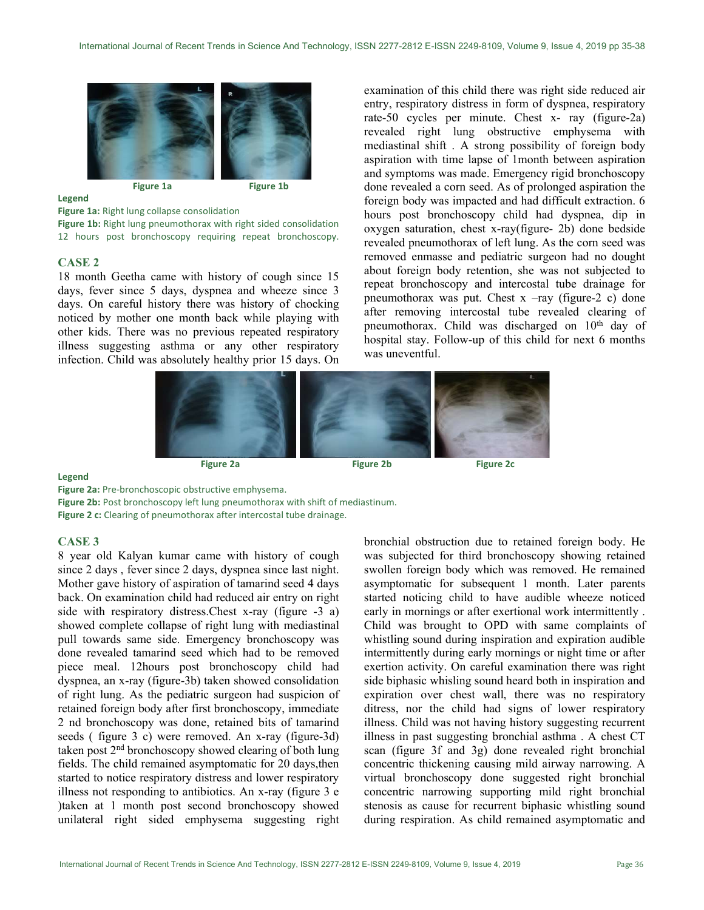

#### Legend

Figure 1a: Right lung collapse consolidation

Figure 1b: Right lung pneumothorax with right sided consolidation 12 hours post bronchoscopy requiring repeat bronchoscopy.

## CASE 2

18 month Geetha came with history of cough since 15 days, fever since 5 days, dyspnea and wheeze since 3 days. On careful history there was history of chocking noticed by mother one month back while playing with other kids. There was no previous repeated respiratory illness suggesting asthma or any other respiratory infection. Child was absolutely healthy prior 15 days. On examination of this child there was right side reduced air entry, respiratory distress in form of dyspnea, respiratory rate-50 cycles per minute. Chest x- ray (figure-2a) revealed right lung obstructive emphysema with mediastinal shift . A strong possibility of foreign body aspiration with time lapse of 1month between aspiration and symptoms was made. Emergency rigid bronchoscopy done revealed a corn seed. As of prolonged aspiration the foreign body was impacted and had difficult extraction. 6 hours post bronchoscopy child had dyspnea, dip in oxygen saturation, chest x-ray(figure- 2b) done bedside revealed pneumothorax of left lung. As the corn seed was removed enmasse and pediatric surgeon had no dought about foreign body retention, she was not subjected to repeat bronchoscopy and intercostal tube drainage for pneumothorax was put. Chest  $x - ray$  (figure-2 c) done after removing intercostal tube revealed clearing of pneumothorax. Child was discharged on 10<sup>th</sup> day of hospital stay. Follow-up of this child for next 6 months was uneventful.



### Legend

Figure 2a: Pre-bronchoscopic obstructive emphysema.

Figure 2b: Post bronchoscopy left lung pneumothorax with shift of mediastinum. Figure 2 c: Clearing of pneumothorax after intercostal tube drainage.

# CASE 3

8 year old Kalyan kumar came with history of cough since 2 days , fever since 2 days, dyspnea since last night. Mother gave history of aspiration of tamarind seed 4 days back. On examination child had reduced air entry on right side with respiratory distress.Chest x-ray (figure -3 a) showed complete collapse of right lung with mediastinal pull towards same side. Emergency bronchoscopy was done revealed tamarind seed which had to be removed piece meal. 12hours post bronchoscopy child had dyspnea, an x-ray (figure-3b) taken showed consolidation of right lung. As the pediatric surgeon had suspicion of retained foreign body after first bronchoscopy, immediate 2 nd bronchoscopy was done, retained bits of tamarind seeds ( figure 3 c) were removed. An x-ray (figure-3d) taken post 2nd bronchoscopy showed clearing of both lung fields. The child remained asymptomatic for 20 days,then started to notice respiratory distress and lower respiratory illness not responding to antibiotics. An x-ray (figure 3 e )taken at 1 month post second bronchoscopy showed unilateral right sided emphysema suggesting right

bronchial obstruction due to retained foreign body. He was subjected for third bronchoscopy showing retained swollen foreign body which was removed. He remained asymptomatic for subsequent 1 month. Later parents started noticing child to have audible wheeze noticed early in mornings or after exertional work intermittently . Child was brought to OPD with same complaints of whistling sound during inspiration and expiration audible intermittently during early mornings or night time or after exertion activity. On careful examination there was right side biphasic whisling sound heard both in inspiration and expiration over chest wall, there was no respiratory ditress, nor the child had signs of lower respiratory illness. Child was not having history suggesting recurrent illness in past suggesting bronchial asthma . A chest CT scan (figure 3f and 3g) done revealed right bronchial concentric thickening causing mild airway narrowing. A virtual bronchoscopy done suggested right bronchial concentric narrowing supporting mild right bronchial stenosis as cause for recurrent biphasic whistling sound during respiration. As child remained asymptomatic and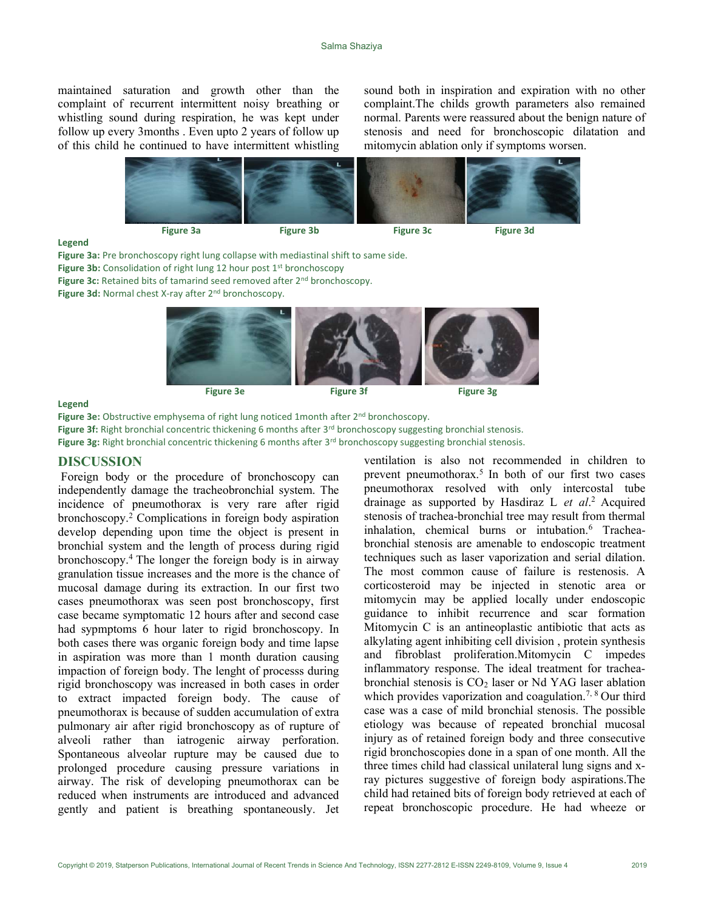maintained saturation and growth other than the complaint of recurrent intermittent noisy breathing or whistling sound during respiration, he was kept under follow up every 3months . Even upto 2 years of follow up of this child he continued to have intermittent whistling sound both in inspiration and expiration with no other complaint.The childs growth parameters also remained normal. Parents were reassured about the benign nature of stenosis and need for bronchoscopic dilatation and mitomycin ablation only if symptoms worsen.



#### Legend

Figure 3a: Pre bronchoscopy right lung collapse with mediastinal shift to same side. Figure 3b: Consolidation of right lung 12 hour post 1<sup>st</sup> bronchoscopy

Figure 3c: Retained bits of tamarind seed removed after 2<sup>nd</sup> bronchoscopy.

Figure 3d: Normal chest X-ray after 2<sup>nd</sup> bronchoscopy.



### Legend

Figure 3e: Obstructive emphysema of right lung noticed 1month after 2<sup>nd</sup> bronchoscopy.

Figure 3f: Right bronchial concentric thickening 6 months after 3<sup>rd</sup> bronchoscopy suggesting bronchial stenosis.

Figure 3g: Right bronchial concentric thickening 6 months after 3<sup>rd</sup> bronchoscopy suggesting bronchial stenosis.

### DISCUSSION

 Foreign body or the procedure of bronchoscopy can independently damage the tracheobronchial system. The incidence of pneumothorax is very rare after rigid bronchoscopy.<sup>2</sup> Complications in foreign body aspiration develop depending upon time the object is present in bronchial system and the length of process during rigid bronchoscopy.<sup>4</sup>The longer the foreign body is in airway granulation tissue increases and the more is the chance of mucosal damage during its extraction. In our first two cases pneumothorax was seen post bronchoscopy, first case became symptomatic 12 hours after and second case had sypmptoms 6 hour later to rigid bronchoscopy. In both cases there was organic foreign body and time lapse in aspiration was more than 1 month duration causing impaction of foreign body. The lenght of processs during rigid bronchoscopy was increased in both cases in order to extract impacted foreign body. The cause of pneumothorax is because of sudden accumulation of extra pulmonary air after rigid bronchoscopy as of rupture of alveoli rather than iatrogenic airway perforation. Spontaneous alveolar rupture may be caused due to prolonged procedure causing pressure variations in airway. The risk of developing pneumothorax can be reduced when instruments are introduced and advanced gently and patient is breathing spontaneously. Jet

ventilation is also not recommended in children to prevent pneumothorax.<sup>5</sup> In both of our first two cases pneumothorax resolved with only intercostal tube drainage as supported by Hasdiraz L et al.<sup>2</sup> Acquired stenosis of trachea-bronchial tree may result from thermal inhalation, chemical burns or intubation.<sup>6</sup> Tracheabronchial stenosis are amenable to endoscopic treatment techniques such as laser vaporization and serial dilation. The most common cause of failure is restenosis. A corticosteroid may be injected in stenotic area or mitomycin may be applied locally under endoscopic guidance to inhibit recurrence and scar formation Mitomycin C is an antineoplastic antibiotic that acts as alkylating agent inhibiting cell division , protein synthesis and fibroblast proliferation.Mitomycin C impedes inflammatory response. The ideal treatment for tracheabronchial stenosis is  $CO<sub>2</sub>$  laser or Nd YAG laser ablation which provides vaporization and coagulation.<sup>7, 8</sup> Our third case was a case of mild bronchial stenosis. The possible etiology was because of repeated bronchial mucosal injury as of retained foreign body and three consecutive rigid bronchoscopies done in a span of one month. All the three times child had classical unilateral lung signs and xray pictures suggestive of foreign body aspirations.The child had retained bits of foreign body retrieved at each of repeat bronchoscopic procedure. He had wheeze or